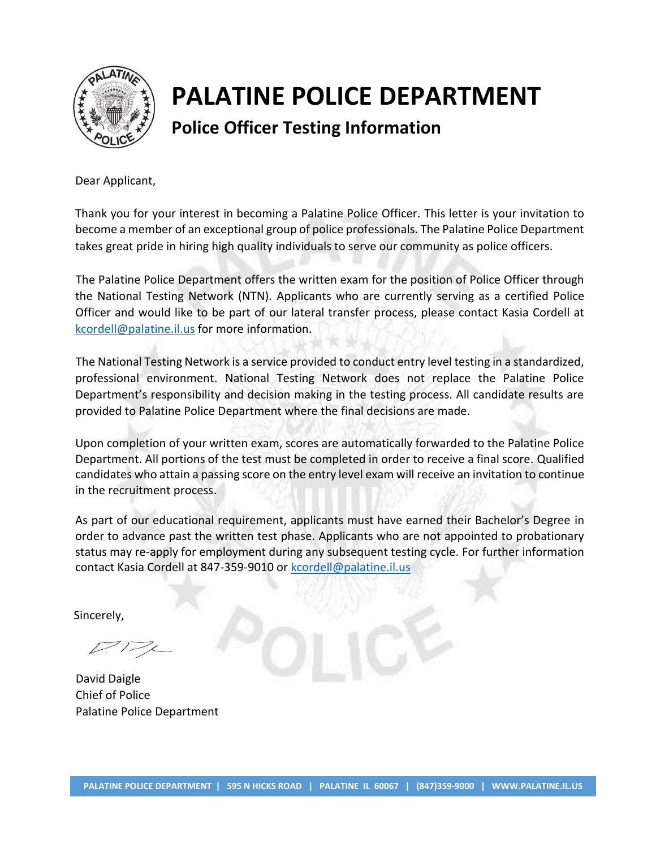

# **Police Officer Testing Information**

Dear Applicant,

Thank you for your interest in becoming a Palatine Police Officer. This letter is your invitation to become a member of an exceptional group of police professionals. The Palatine Police Department takes great pride in hiring high quality individuals to serve our community as police officers.

The Palatine Police Department offers the written exam for the position of Police Officer through the National Testing Network (NTN). Applicants who are currently serving as a certified Police Officer and would like to be part of our lateral transfer process, please contact Kasia Cordell at [kcordell@palatine.il.us](mailto:kcordell@palatine.il.us) for more information.

The National Testing Network is a service provided to conduct entry level testing in a standardized, professional environment. National Testing Network does not replace the Palatine Police Department's responsibility and decision making in the testing process. All candidate results are provided to Palatine Police Department where the final decisions are made.

Upon completion of your written exam, scores are automatically forwarded to the Palatine Police Department. All portions of the test must be completed in order to receive a final score. Qualified candidates who attain a passing score on the entry level exam will receive an invitation to continue in the recruitment process.

As part of our educational requirement, applicants must have earned their Bachelor's Degree in order to advance past the written test phase. Applicants who are not appointed to probationary status may re-apply for employment during any subsequent testing cycle. For further information contact Kasia Cordell at 847-359-9010 or [kcordell@palatine.il.us](mailto:kcordell@palatine.il.us) 

Sincerely,

David Daigle Chief of Police Palatine Police Department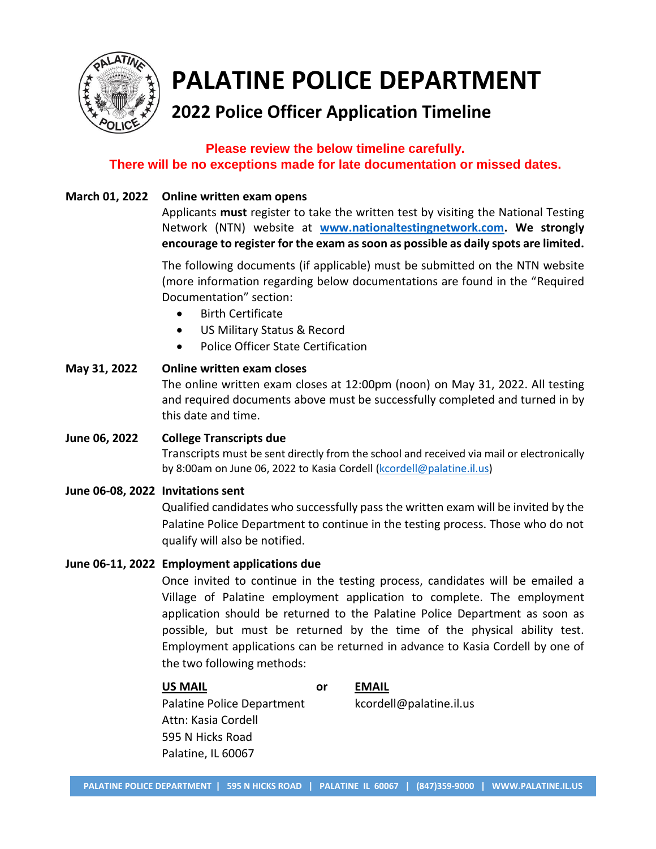

# **2022 Police Officer Application Timeline**

#### **Please review the below timeline carefully. There will be no exceptions made for late documentation or missed dates.**

#### **March 01, 2022 Online written exam opens**

Applicants **must** register to take the written test by visiting the National Testing Network (NTN) website at **[www.nationaltestingnetwork.com.](http://www.nationaltestingnetwork.com/) We strongly encourage to register for the exam as soon as possible as daily spots are limited.**

The following documents (if applicable) must be submitted on the NTN website (more information regarding below documentations are found in the "Required Documentation" section:

- Birth Certificate
- US Military Status & Record
- Police Officer State Certification

#### **May 31, 2022 Online written exam closes**  The online written exam closes at 12:00pm (noon) on May 31, 2022. All testing and required documents above must be successfully completed and turned in by this date and time.

## **June 06, 2022 College Transcripts due** Transcripts must be sent directly from the school and received via mail or electronically by 8:00am on June 06, 2022 to Kasia Cordell [\(kcordell@palatine.il.us\)](mailto:kcordell@palatine.il.us)

#### **June 06-08, 2022 Invitations sent**

Qualified candidates who successfully pass the written exam will be invited by the Palatine Police Department to continue in the testing process. Those who do not qualify will also be notified.

#### **June 06-11, 2022 Employment applications due**

Once invited to continue in the testing process, candidates will be emailed a Village of Palatine employment application to complete. The employment application should be returned to the Palatine Police Department as soon as possible, but must be returned by the time of the physical ability test. Employment applications can be returned in advance to Kasia Cordell by one of the two following methods:

#### **US MAIL or EMAIL**

Palatine Police Department kcordell@palatine.il.us Attn: Kasia Cordell 595 N Hicks Road Palatine, IL 60067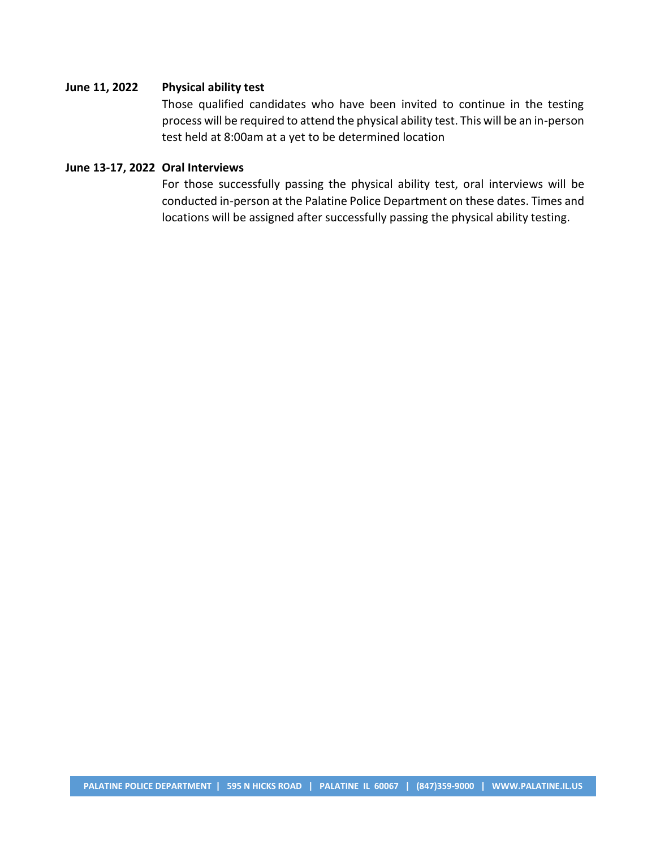#### **June 11, 2022 Physical ability test**

Those qualified candidates who have been invited to continue in the testing process will be required to attend the physical ability test. This will be an in-person test held at 8:00am at a yet to be determined location

#### **June 13-17, 2022 Oral Interviews**

For those successfully passing the physical ability test, oral interviews will be conducted in-person at the Palatine Police Department on these dates. Times and locations will be assigned after successfully passing the physical ability testing.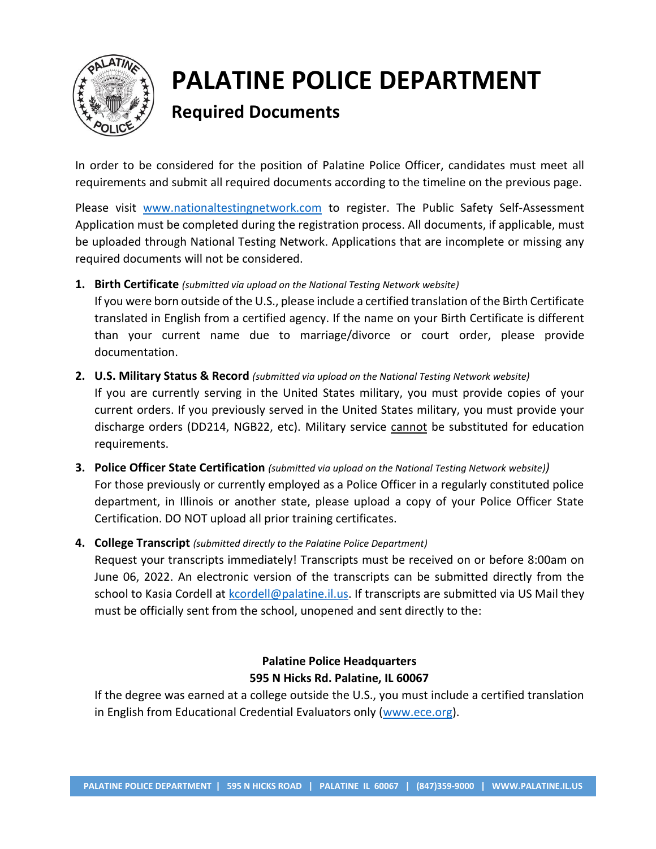

# **Required Documents**

In order to be considered for the position of Palatine Police Officer, candidates must meet all requirements and submit all required documents according to the timeline on the previous page.

Please visit [www.nationaltestingnetwork.com](http://www.nationaltestingnetwork.com/) to register. The Public Safety Self-Assessment Application must be completed during the registration process. All documents, if applicable, must be uploaded through National Testing Network. Applications that are incomplete or missing any required documents will not be considered.

**1. Birth Certificate** *(submitted via upload on the National Testing Network website)*

If you were born outside of the U.S., please include a certified translation of the Birth Certificate translated in English from a certified agency. If the name on your Birth Certificate is different than your current name due to marriage/divorce or court order, please provide documentation.

**2. U.S. Military Status & Record** *(submitted via upload on the National Testing Network website)*

If you are currently serving in the United States military, you must provide copies of your current orders. If you previously served in the United States military, you must provide your discharge orders (DD214, NGB22, etc). Military service cannot be substituted for education requirements.

- **3. Police Officer State Certification** *(submitted via upload on the National Testing Network website))* For those previously or currently employed as a Police Officer in a regularly constituted police department, in Illinois or another state, please upload a copy of your Police Officer State Certification. DO NOT upload all prior training certificates.
- **4. College Transcript** *(submitted directly to the Palatine Police Department)*

Request your transcripts immediately! Transcripts must be received on or before 8:00am on June 06, 2022. An electronic version of the transcripts can be submitted directly from the school to Kasia Cordell at [kcordell@palatine.il.us.](mailto:kcordell@palatine.il.us) If transcripts are submitted via US Mail they must be officially sent from the school, unopened and sent directly to the:

#### **Palatine Police Headquarters 595 N Hicks Rd. Palatine, IL 60067**

If the degree was earned at a college outside the U.S., you must include a certified translation in English from Educational Credential Evaluators only [\(www.ece.org\)](http://www.ece.org/).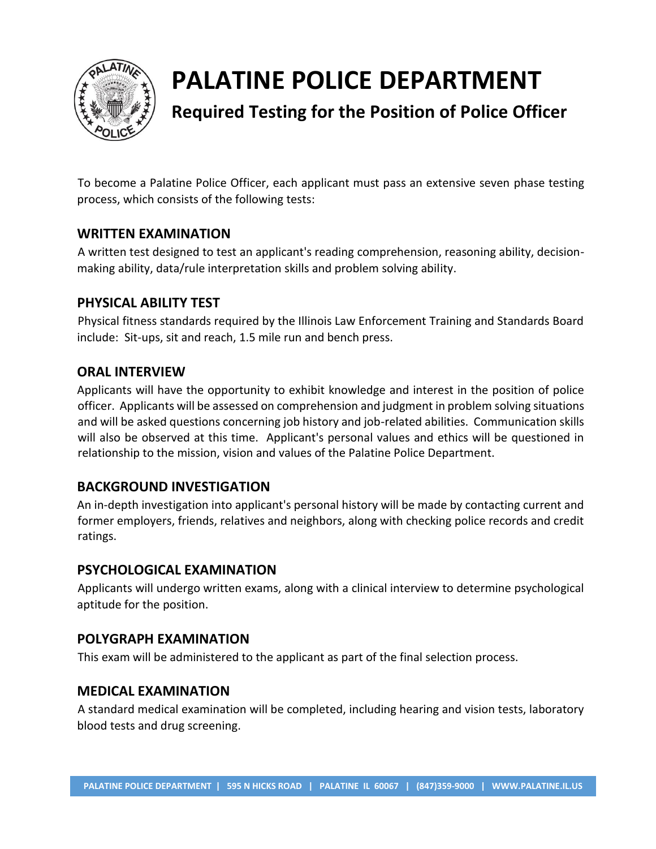

# **Required Testing for the Position of Police Officer**

To become a Palatine Police Officer, each applicant must pass an extensive seven phase testing process, which consists of the following tests:

#### **WRITTEN EXAMINATION**

A written test designed to test an applicant's reading comprehension, reasoning ability, decisionmaking ability, data/rule interpretation skills and problem solving ability.

#### **PHYSICAL ABILITY TEST**

Physical fitness standards required by the Illinois Law Enforcement Training and Standards Board include: Sit-ups, sit and reach, 1.5 mile run and bench press.

#### **ORAL INTERVIEW**

Applicants will have the opportunity to exhibit knowledge and interest in the position of police officer. Applicants will be assessed on comprehension and judgment in problem solving situations and will be asked questions concerning job history and job-related abilities. Communication skills will also be observed at this time. Applicant's personal values and ethics will be questioned in relationship to the mission, vision and values of the Palatine Police Department.

#### **BACKGROUND INVESTIGATION**

An in-depth investigation into applicant's personal history will be made by contacting current and former employers, friends, relatives and neighbors, along with checking police records and credit ratings.

#### **PSYCHOLOGICAL EXAMINATION**

Applicants will undergo written exams, along with a clinical interview to determine psychological aptitude for the position.

#### **POLYGRAPH EXAMINATION**

This exam will be administered to the applicant as part of the final selection process.

#### **MEDICAL EXAMINATION**

A standard medical examination will be completed, including hearing and vision tests, laboratory blood tests and drug screening.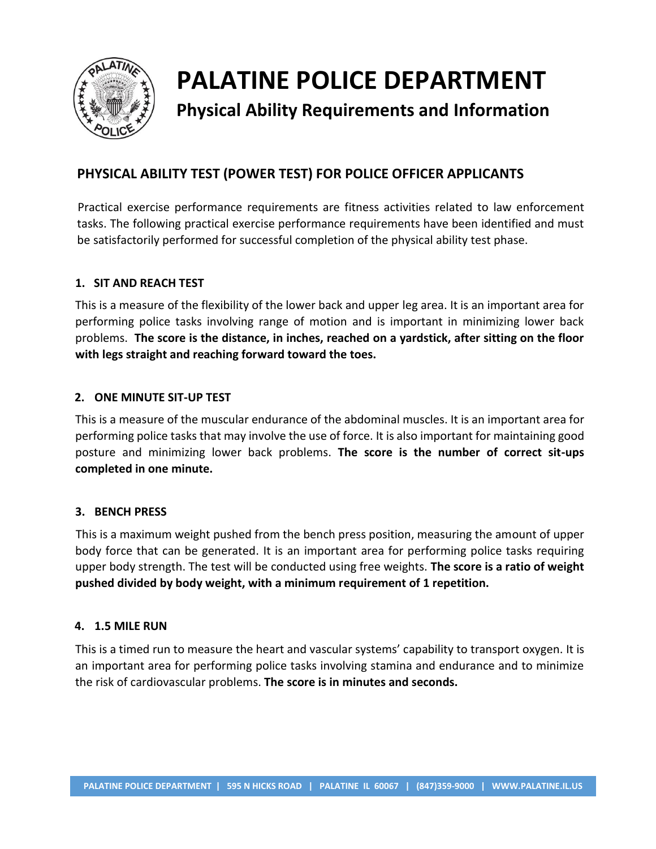

# **Physical Ability Requirements and Information**

## **PHYSICAL ABILITY TEST (POWER TEST) FOR POLICE OFFICER APPLICANTS**

Practical exercise performance requirements are fitness activities related to law enforcement tasks. The following practical exercise performance requirements have been identified and must be satisfactorily performed for successful completion of the physical ability test phase.

#### **1. SIT AND REACH TEST**

This is a measure of the flexibility of the lower back and upper leg area. It is an important area for performing police tasks involving range of motion and is important in minimizing lower back problems. **The score is the distance, in inches, reached on a yardstick, after sitting on the floor with legs straight and reaching forward toward the toes.** 

#### **2. ONE MINUTE SIT-UP TEST**

This is a measure of the muscular endurance of the abdominal muscles. It is an important area for performing police tasks that may involve the use of force. It is also important for maintaining good posture and minimizing lower back problems. **The score is the number of correct sit-ups completed in one minute.** 

#### **3. BENCH PRESS**

This is a maximum weight pushed from the bench press position, measuring the amount of upper body force that can be generated. It is an important area for performing police tasks requiring upper body strength. The test will be conducted using free weights. **The score is a ratio of weight pushed divided by body weight, with a minimum requirement of 1 repetition.** 

#### **4. 1.5 MILE RUN**

This is a timed run to measure the heart and vascular systems' capability to transport oxygen. It is an important area for performing police tasks involving stamina and endurance and to minimize the risk of cardiovascular problems. **The score is in minutes and seconds.**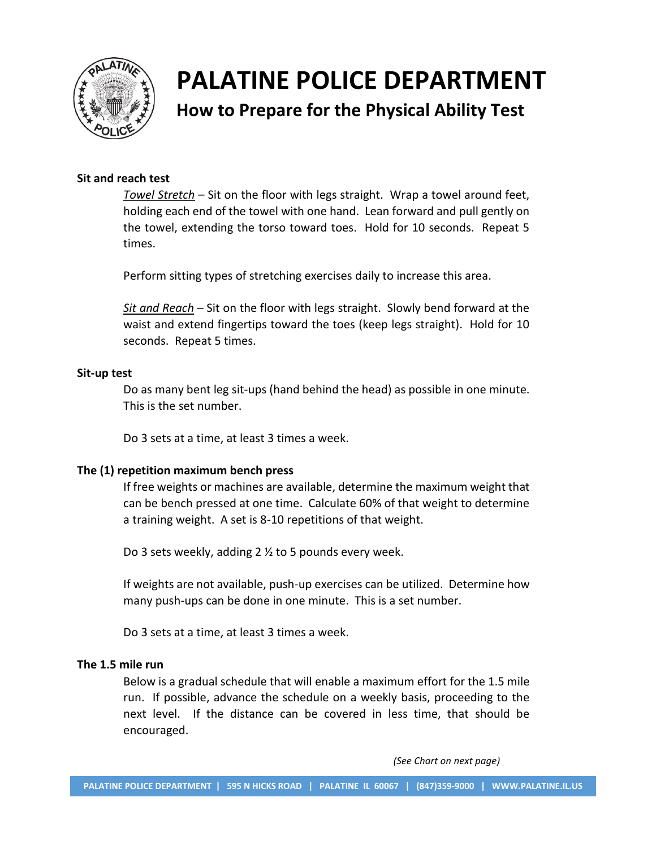

**How to Prepare for the Physical Ability Test**

#### **Sit and reach test**

*Towel Stretch* – Sit on the floor with legs straight. Wrap a towel around feet, holding each end of the towel with one hand. Lean forward and pull gently on the towel, extending the torso toward toes. Hold for 10 seconds. Repeat 5 times.

Perform sitting types of stretching exercises daily to increase this area.

*Sit and Reach* – Sit on the floor with legs straight. Slowly bend forward at the waist and extend fingertips toward the toes (keep legs straight). Hold for 10 seconds. Repeat 5 times.

#### **Sit-up test**

Do as many bent leg sit-ups (hand behind the head) as possible in one minute. This is the set number.

Do 3 sets at a time, at least 3 times a week.

#### **The (1) repetition maximum bench press**

If free weights or machines are available, determine the maximum weight that can be bench pressed at one time. Calculate 60% of that weight to determine a training weight. A set is 8-10 repetitions of that weight.

Do 3 sets weekly, adding 2 ½ to 5 pounds every week.

If weights are not available, push-up exercises can be utilized. Determine how many push-ups can be done in one minute. This is a set number.

Do 3 sets at a time, at least 3 times a week.

#### **The 1.5 mile run**

Below is a gradual schedule that will enable a maximum effort for the 1.5 mile run. If possible, advance the schedule on a weekly basis, proceeding to the next level. If the distance can be covered in less time, that should be encouraged.

*(See Chart on next page)*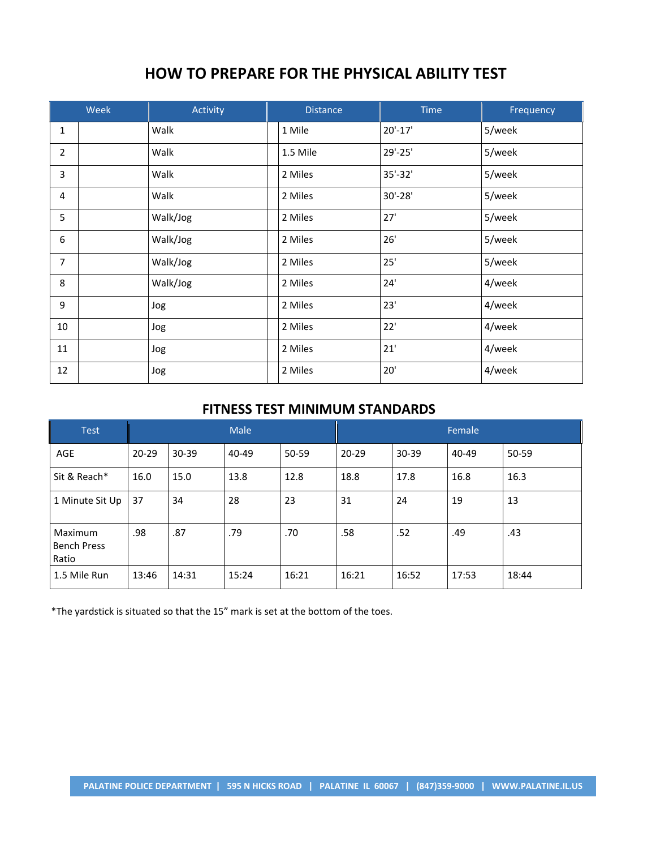# **HOW TO PREPARE FOR THE PHYSICAL ABILITY TEST**

| <b>Week</b>    |  | Activity | <b>Distance</b> | <b>Time</b> | Frequency |
|----------------|--|----------|-----------------|-------------|-----------|
| $\mathbf{1}$   |  | Walk     | 1 Mile          | $20'-17'$   | 5/week    |
| $\overline{2}$ |  | Walk     | 1.5 Mile        | 29'-25'     | 5/week    |
| 3              |  | Walk     | 2 Miles         | 35'-32'     | 5/week    |
| 4              |  | Walk     | 2 Miles         | $30' - 28'$ | 5/week    |
| 5              |  | Walk/Jog | 2 Miles         | 27'         | 5/week    |
| 6              |  | Walk/Jog | 2 Miles         | 26'         | 5/week    |
| $\overline{7}$ |  | Walk/Jog | 2 Miles         | 25'         | 5/week    |
| 8              |  | Walk/Jog | 2 Miles         | 24'         | 4/week    |
| 9              |  | Jog      | 2 Miles         | 23'         | 4/week    |
| 10             |  | Jog      | 2 Miles         | 22'         | 4/week    |
| 11             |  | Jog      | 2 Miles         | 21'         | 4/week    |
| 12             |  | Jog      | 2 Miles         | 20'         | 4/week    |

#### **FITNESS TEST MINIMUM STANDARDS**

| <b>Test</b>                            |           | <b>Male</b> |       | Female |           |           |       |       |
|----------------------------------------|-----------|-------------|-------|--------|-----------|-----------|-------|-------|
| <b>AGE</b>                             | $20 - 29$ | $30 - 39$   | 40-49 | 50-59  | $20 - 29$ | $30 - 39$ | 40-49 | 50-59 |
| Sit & Reach*                           | 16.0      | 15.0        | 13.8  | 12.8   | 18.8      | 17.8      | 16.8  | 16.3  |
| 1 Minute Sit Up                        | 37        | 34          | 28    | 23     | 31        | 24        | 19    | 13    |
| Maximum<br><b>Bench Press</b><br>Ratio | .98       | .87         | .79   | .70    | .58       | .52       | .49   | .43   |
| 1.5 Mile Run                           | 13:46     | 14:31       | 15:24 | 16:21  | 16:21     | 16:52     | 17:53 | 18:44 |

\*The yardstick is situated so that the 15" mark is set at the bottom of the toes.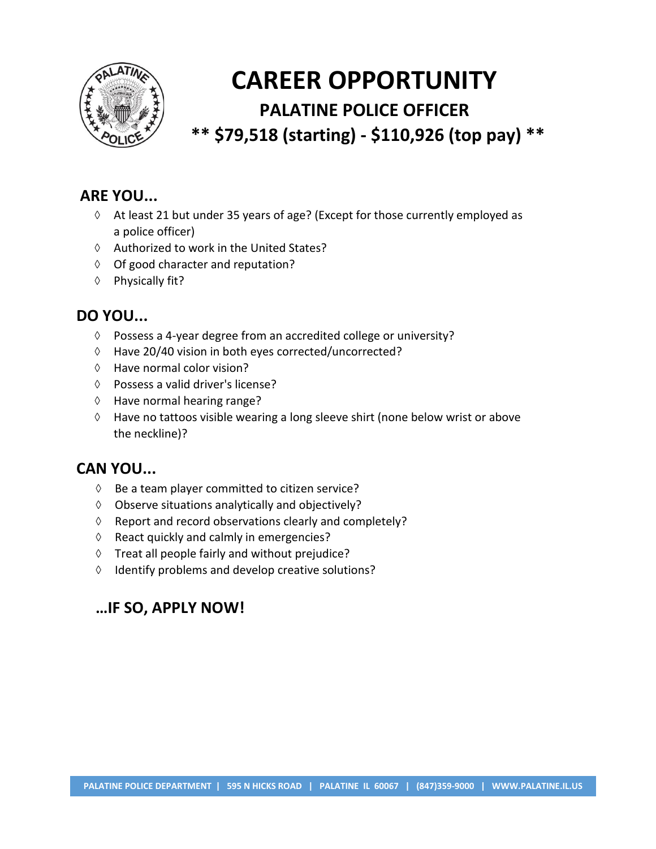

# **CAREER OPPORTUNITY PALATINE POLICE OFFICER \*\* \$79,518 (starting) - \$110,926 (top pay) \*\***

## **ARE YOU...**

- $\Diamond$  At least 21 but under 35 years of age? (Except for those currently employed as a police officer)
- $\Diamond$  Authorized to work in the United States?
- $\lozenge$  Of good character and reputation?
- ♦ Physically fit?

# **DO YOU...**

- Possess a 4-year degree from an accredited college or university?
- Have 20/40 vision in both eyes corrected/uncorrected?
- $\Diamond$  Have normal color vision?
- Possess a valid driver's license?
- $\Diamond$  Have normal hearing range?
- $\Diamond$  Have no tattoos visible wearing a long sleeve shirt (none below wrist or above the neckline)?

### **CAN YOU...**

- $\Diamond$  Be a team player committed to citizen service?
- $\Diamond$  Observe situations analytically and objectively?
- $\Diamond$  Report and record observations clearly and completely?
- $\Diamond$  React quickly and calmly in emergencies?
- $\Diamond$  Treat all people fairly and without prejudice?
- $\Diamond$  Identify problems and develop creative solutions?

# **…IF SO, APPLY NOW!**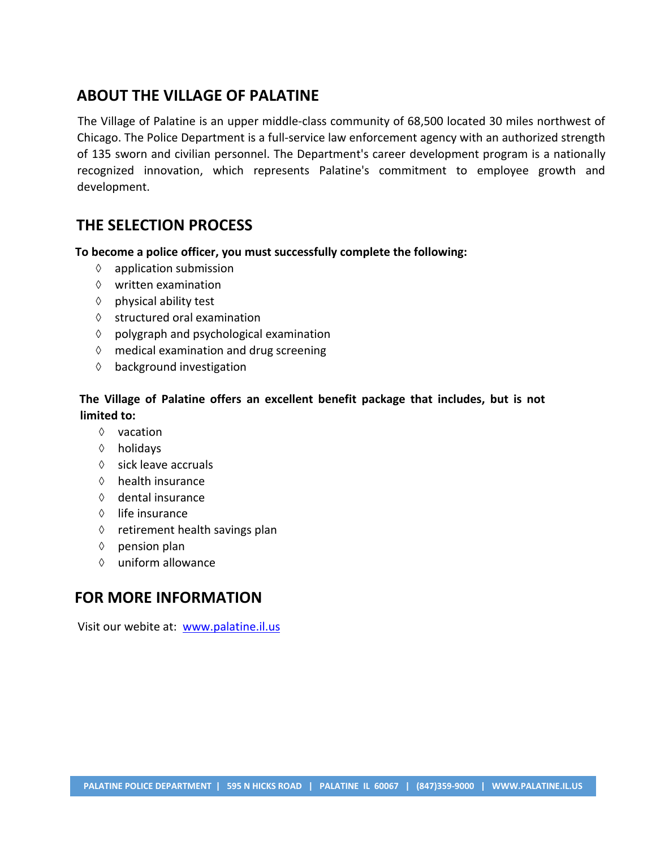## **ABOUT THE VILLAGE OF PALATINE**

The Village of Palatine is an upper middle-class community of 68,500 located 30 miles northwest of Chicago. The Police Department is a full-service law enforcement agency with an authorized strength of 135 sworn and civilian personnel. The Department's career development program is a nationally recognized innovation, which represents Palatine's commitment to employee growth and development.

# **THE SELECTION PROCESS**

**To become a police officer, you must successfully complete the following:** 

- $\Diamond$  application submission
- $\Diamond$  written examination
- $\Diamond$  physical ability test
- $\Diamond$  structured oral examination
- $\diamond$  polygraph and psychological examination
- $\Diamond$  medical examination and drug screening
- $\Diamond$  background investigation

#### **The Village of Palatine offers an excellent benefit package that includes, but is not limited to:**

- $\Diamond$  vacation
- holidays
- $\Diamond$  sick leave accruals
- $\Diamond$  health insurance
- $\Diamond$  dental insurance
- $\Diamond$  life insurance
- $\Diamond$  retirement health savings plan
- $\Diamond$  pension plan
- $\Diamond$  uniform allowance

#### **FOR MORE INFORMATION**

Visit our webite at: [www.palatine.il.us](http://www.palatine.il.us/)